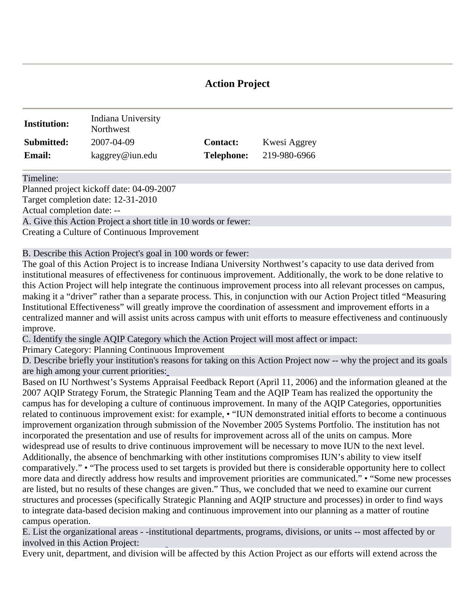## **Action Project**

| <b>Institution:</b> | Indiana University<br>Northwest |                   |              |
|---------------------|---------------------------------|-------------------|--------------|
| Submitted:          | 2007-04-09                      | <b>Contact:</b>   | Kwesi Aggrey |
| <b>Email:</b>       | kaggrey@iun.edu                 | <b>Telephone:</b> | 219-980-6966 |

Timeline:

Planned project kickoff date: 04-09-2007 Target completion date: 12-31-2010 Actual completion date: -- A. Give this Action Project a short title in 10 words or fewer:

Creating a Culture of Continuous Improvement

B. Describe this Action Project's goal [in 100 wo](http://www.aqip.org/actionproject/Help.php?helptext=1)rds or fewer:

The goal of this Action Project is to increase Indiana University Northwest's capacity to use data derived from institutional measures of effectiveness for continuous improvement. Additionally, the work to be done relative to this Action Project will help integrate the continuous improvement process into all relevant processes on campus, making it a "driver" rather than a separate process. This, in conjunction with our Action Project titled "Measuring Institutional Effectiveness" will greatly improve the coordination of assessment and improvement efforts in a centralized manner and will assist units across campus with unit efforts to measure effectiveness and continuously improve.

C. Identify the single AQIP Category which the Action Project will most affect or impact:

Primary Category: Planning Continuous Improvement

D. Describe briefly your institution's reasons for taking on this Action Project now -- why the project and its goals are high among your current priorities[:](http://www.aqip.org/actionproject/Help.php?helptext=1)

Based on IU Northwest's Systems Appraisal Feedback Report (April 11, 2006) and the information gleaned at the 2007 AQIP Strategy Forum, the Strategic Planning Team and the AQIP Team has realized the opportunity the campus has for developing a culture of continuous improvement. In many of the AQIP Categories, opportunities related to continuous improvement exist: for example, • "IUN demonstrated initial efforts to become a continuous improvement organization thr[ough subm](http://www.aqip.org/actionproject/Help.php?helptext=2)ission of the November 2005 Systems Portfolio. The institution has not incorporated the presentation and use of results for improvement across all of the units on campus. More widespread use of results to drive continuous improvement will be necessary to move IUN to the next level. Additionally, the absence of benchmarking with other institutions compromises IUN's ability to view itself comparatively." • "The process used to set targets is provided but there is considerable opportunity here to collect more data and directly address how results and improvement priorities are communicated." • "Some new processes are listed, but no results of these changes are given." Thus, we concluded that we need to examine our current structures and processes (specifically Strategic Planning and AQIP structure and processes) in order to find ways to integrate data-based decision making and continuous improvement into our planning as a matter of routine campus operation.

E. List the organizational areas - -insti[tu](http://www.aqip.org/actionproject/Help.php?helptext=2)tional departments, programs, divisions, or units -- most affected by or involved in this Action Project:

Every unit, department, and division will be affected by this Action Project as our efforts will extend across the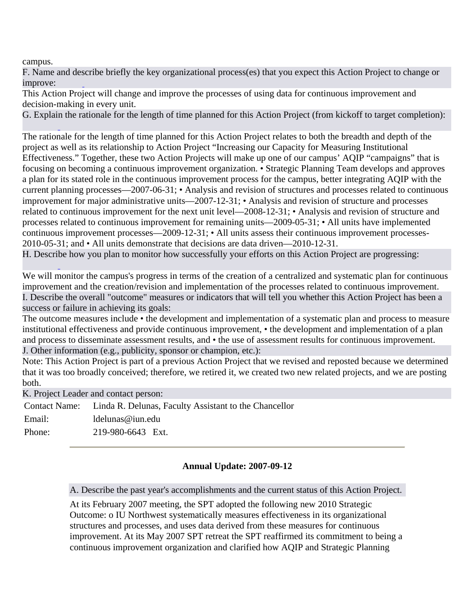campus.

F[. Name a](http://www.aqip.org/actionproject/Help.php?helptext=4)nd de[s](http://www.aqip.org/actionproject/Help.php?helptext=3)cribe briefly the key organizational process(es) that you expect this Action Project to change or improve:

This Action Project will change and improve the processes of using data for continuous improvement and decision-making in every unit.

G. Explai[n](http://www.aqip.org/actionproject/Help.php?helptext=4) the rationale for the length of time planned for this Action Project (from kickoff to target completion):

The rationale for the length of time planned for this Action Project relates to both the breadth and depth of the project as well as its relationship to Action Project "Increasing our Capacity for Measuring Institutional Effectiveness." Together, these two Action Projects will make up one of our campus' AQIP "campaigns" that is focusing on becoming a continuous improvement organization. • Strategic Planning Team develops and approves a plan for its stated role in the continuous improvement process for the campus, better integrating AQIP with the current planning processes—2007-06-31; • Analysis and revision of structures and processes related to continuous improvement for major administrative units—2007-12-31; • Analysis and revision of structure and processes r[elated to c](http://www.aqip.org/actionproject/Help.php?helptext=5)ontinuous improvement for the next unit level—2008-12-31; • Analysis and revision of structure and processes related to continuous improvement for remaining units—2009-05-31; • All units have implemented continuous improvement processes—2009-12-31; • All units assess their continuous improvement processes-2010-05-31; and • All units demonstrate that decisions are data driven—2010-12-31.

H. Descri[b](http://www.aqip.org/actionproject/Help.php?helptext=5)e how you plan to monitor ho[w success](http://www.aqip.org/actionproject/Help.php?helptext=7)fully your efforts on this Action Project are progressing:

We will monitor the campus's progress in terms of the creation of a centralized and systematic plan for continuous improvement and the creation/revision and implementation of the processes related to continuous improvement. I. Describe the overall "outcome" measures or indicators that will [tell you](http://www.aqip.org/actionproject/Help.php?helptext=7) whether this Action Project has been a success or failure in achieving its goals:

The outcome measures include • the development and implementation of a systematic plan and process to measure institutional effectiveness and provide continuous improvement, • the development and implementation of a plan and process to disseminate assessment [results, a](http://www.aqip.org/actionproject/Help.php?helptext=8)nd • the use of assessment results for continuous improvement. J. Other information (e.g., publicity, sponsor or champion, etc.):

Note: This Action Project is part of a previous Action Project that we revised and reposted because we determined that it was too broadly conceived; therefore, we retired it, we created two new related projects, and we are posting both.

K. Project Leader and contact person:

|        | Contact Name: Linda R. Delunas, Faculty Assistant to the Chancellor |
|--------|---------------------------------------------------------------------|
| Email: | ldelunas@iun.edu                                                    |
| Phone: | 219-980-6643 Ext.                                                   |

## **Annual Update: 2007-09-12**

A. Describe the past year's accomplishments and the current status of this Action Project.

At its February 2007 meeting, the SPT adopted the following new 2010 Strategic Outcome: o IU Northwest systematically measures effectiveness in its organizational structures and processes, and uses data derived from these measures for continuous improvement. At its May 2007 SPT retreat the SPT reaffirmed its commitment to being a continuous improvement organization and clarified how AQIP and Strategic Planning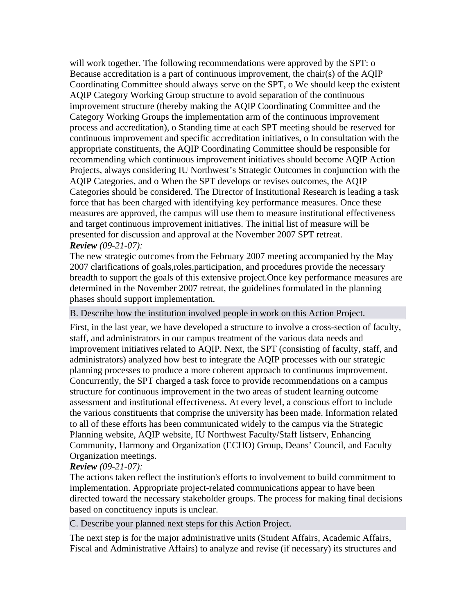will work together. The following recommendations were approved by the SPT: o Because accreditation is a part of continuous improvement, the chair(s) of the AQIP Coordinating Committee should always serve on the SPT, o We should keep the existent AQIP Category Working Group structure to avoid separation of the continuous improvement structure (thereby making the AQIP Coordinating Committee and the Category Working Groups the implementation arm of the continuous improvement process and accreditation), o Standing time at each SPT meeting should be reserved for continuous improvement and specific accreditation initiatives, o In consultation with the appropriate constituents, the AQIP Coordinating Committee should be responsible for recommending which continuous improvement initiatives should become AQIP Action Projects, always considering IU Northwest's Strategic Outcomes in conjunction with the AQIP Categories, and o When the SPT develops or revises outcomes, the AQIP Categories should be considered. The Director of Institutional Research is leading a task force that has been charged with identifying key performance measures. Once these measures are approved, the campus will use them to measure institutional effectiveness and target continuous improvement initiatives. The initial list of measure will be presented for discussion and approval at the November 2007 SPT retreat. *Review (09-21-07):*

The new strategic outcomes from the February 2007 meeting accompanied by the May 2007 clarifications of goals,roles,participation, and procedures provide the necessary breadth to support the goals of this extensive project.Once key performance measures are determined in the November 2007 retreat, the guidelines formulated in the planning phases should support implementation.

B. Describe how the institution involved people in work on this Action Project.

First, in the last year, we have developed a structure to involve a cross-section of faculty, staff, and administrators in our campus treatment of the various data needs and improvement initiatives related to AQIP. Next, the SPT (consisting of faculty, staff, and administrators) analyzed how best to integrate the AQIP processes with our strategic planning processes to produce a more coherent approach to continuous improvement. Concurrently, the SPT charged a task force to provide recommendations on a campus structure for continuous improvement in the two areas of student learning outcome assessment and institutional effectiveness. At every level, a conscious effort to include the various constituents that comprise the university has been made. Information related to all of these efforts has been communicated widely to the campus via the Strategic Planning website, AQIP website, IU Northwest Faculty/Staff listserv, Enhancing Community, Harmony and Organization (ECHO) Group, Deans' Council, and Faculty Organization meetings.

## *Review (09-21-07):*

The actions taken reflect the institution's efforts to involvement to build commitment to implementation. Appropriate project-related communications appear to have been directed toward the necessary stakeholder groups. The process for making final decisions based on conctituency inputs is unclear.

C. Describe your planned next steps for this Action Project.

The next step is for the major administrative units (Student Affairs, Academic Affairs, Fiscal and Administrative Affairs) to analyze and revise (if necessary) its structures and